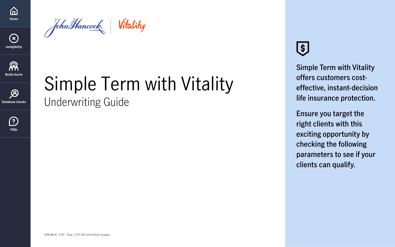Simple Term with Vitality

Underwriting Guide

LIFE-9415  $7/21$  Page 1 of 4. Not valid without all pages.

# $\left( \text{\$}\right)$

**Simple Term with Vitality offers customers costeffective, instant-decision life insurance protection.** 

**Ensure you target the right clients with this exciting opportunity by checking the following parameters to see if your clients can qualify.**

**[FAQs](#page-3-0)**

 $\bigcirc$ 

<span id="page-0-0"></span>

John Hancock Vitality





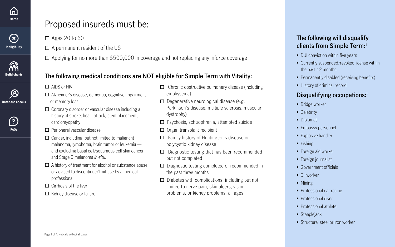- $\Box$  Chronic obstructive pulmonary disease (including emphysema)
- $\square$  Degenerative neurological disease (e.g. Parkinson's disease, multiple sclerosis, muscular dystrophy)
- □ Psychosis, schizophrenia, attempted suicide
- $\Box$  Organ transplant recipient
- □ Family history of Huntington's disease or polycystic kidney disease
- $\Box$  Diagnostic testing that has been recommended but not completed
- □ Diagnostic testing completed or recommended in the past three months
- $\Box$  Diabetes with complications, including but not limited to nerve pain, skin ulcers, vision problems, or kidney problems, all ages
- DUI conviction within five years
- Currently suspended/revoked license within the past 12 months
- Permanently disabled (receiving benefits)
- History of criminal record

- Bridge worker
- Celebrity
- Diplomat
- Embassy personnel
- Explosive handler
- Fishing
- Foreign aid worker
- Foreign journalist
- Government officials
- Oil worker
- Mining
- Professional car racing
- Professional diver
- Professional athlete
- Steeplejack
- Structural steel or iron worker

### **The following medical conditions are NOT eligible for Simple Term with Vitality:**

□ AIDS or HIV

- $\Box$  Alzheimer's disease, dementia, cognitive impairment or memory loss
- $\Box$  Coronary disorder or vascular disease including a history of stroke, heart attack, stent placement, cardiomyopathy
- $\square$  Peripheral vascular disease
- $\Box$  Cancer, including, but not limited to malignant melanoma, lymphoma, brain tumor or leukemia and excluding basal cell/squamous cell skin cancer and Stage 0 melanoma *in-situ*.
- $\Box$  A history of treatment for alcohol or substance abuse or advised to discontinue/limit use by a medical professional
- $\Box$  Cirrhosis of the liver
- □ Kidney disease or failure

### **The following will disqualify clients from Simple Term: 1**

#### **Disqualifying occupations:<sup>1</sup>**

## Proposed insureds must be:

 $\square$  Ages 20 to 60

 $\square$  A permanent resident of the US

 $\square$  Applying for no more than \$500,000 in coverage and not replacing any inforce coverage



<span id="page-1-0"></span>



 $\bigcirc$ 



**[Database checks](#page-3-0)**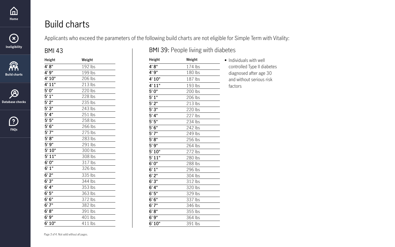| Weight  |
|---------|
| 174 lbs |
| 180 lbs |
| 187 lbs |
| 193 lbs |
| 200 lbs |
| 206 lbs |
| 213 lbs |
| 220 lbs |
| 227 lbs |
| 234 lbs |
| 242 lbs |
| 249 lbs |
| 256 lbs |
| 264 lbs |
| 272 lbs |
| 280 lbs |
| 288 lbs |
| 296 lbs |
| 304 lbs |
| 312 lbs |
| 320 lbs |
| 329 lbs |
| 337 lbs |
| 346 lbs |
| 355 lbs |
| 364 lbs |
| 391 lbs |
|         |

| <b>Height</b> | Weight  |
|---------------|---------|
| 4'8''         | 192 lbs |
| 4'9"          | 199 lbs |
| 4' 10"        | 206 lbs |
| 4' 11"        | 213 lbs |
| 5'0''         | 220 lbs |
| $5'$ 1"       | 228 lbs |
| 5'2"          | 235 lbs |
| 5'3"          | 243 lbs |
| 5' 4''        | 251 lbs |
| 5'5''         | 258 lbs |
| 5'6''         | 266 lbs |
| 5'7''         | 275 lbs |
| 5' 8''        | 283 lbs |
| 5'9''         | 291 lbs |
| 5' 10"        | 300 lbs |
| 5'11"         | 308 lbs |
| 6'0''         | 317 lbs |
| 6'1''         | 326 lbs |
| 6'2"          | 335 lbs |
| 6'3''         | 344 lbs |
| 6' 4''        | 353 lbs |
| 6' 5"         | 363 lbs |
| 6'6''         | 372 lbs |
| 6'7''         | 382 lbs |
| 6'8''         | 391 lbs |
| 6'9''         | 401 lbs |
| 6'10"         | 411 lbs |

#### BMI 43 BMI 39: People living with diabetes

| <b>Build charts</b> |  |  |
|---------------------|--|--|
|---------------------|--|--|

Applicants who exceed the parameters of the following build charts are not eligible for Simple Term with Vitality:

• Individuals with well controlled Type II diabetes diagnosed after age 30 and without serious risk factors







<span id="page-2-0"></span>

**[Database checks](#page-3-0)**